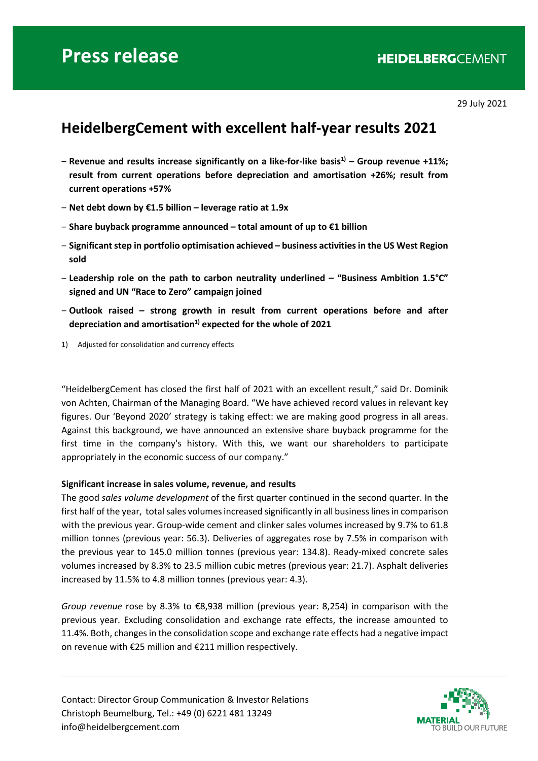29 July 2021

## **HeidelbergCement with excellent half-year results 2021**

- ‒ **Revenue and results increase significantly on a like-for-like basis1) – Group revenue +11%; result from current operations before depreciation and amortisation +26%; result from current operations +57%**
- ‒ **Net debt down by €1.5 billion – leverage ratio at 1.9x**
- ‒ **Share buyback programme announced – total amount of up to €1 billion**
- ‒ **Significant step in portfolio optimisation achieved – business activities in the US West Region sold**
- ‒ **Leadership role on the path to carbon neutrality underlined – "Business Ambition 1.5°C" signed and UN "Race to Zero" campaign joined**
- ‒ **Outlook raised – strong growth in result from current operations before and after**  depreciation and amortisation<sup>1)</sup> expected for the whole of 2021
- 1) Adjusted for consolidation and currency effects

"HeidelbergCement has closed the first half of 2021 with an excellent result," said Dr. Dominik von Achten, Chairman of the Managing Board. "We have achieved record values in relevant key figures. Our 'Beyond 2020' strategy is taking effect: we are making good progress in all areas. Against this background, we have announced an extensive share buyback programme for the first time in the company's history. With this, we want our shareholders to participate appropriately in the economic success of our company."

#### **Significant increase in sales volume, revenue, and results**

The good *sales volume development* of the first quarter continued in the second quarter. In the first half of the year, total sales volumes increased significantly in all business lines in comparison with the previous year. Group-wide cement and clinker sales volumes increased by 9.7% to 61.8 million tonnes (previous year: 56.3). Deliveries of aggregates rose by 7.5% in comparison with the previous year to 145.0 million tonnes (previous year: 134.8). Ready-mixed concrete sales volumes increased by 8.3% to 23.5 million cubic metres (previous year: 21.7). Asphalt deliveries increased by 11.5% to 4.8 million tonnes (previous year: 4.3).

*Group revenue* rose by 8.3% to €8,938 million (previous year: 8,254) in comparison with the previous year. Excluding consolidation and exchange rate effects, the increase amounted to 11.4%. Both, changes in the consolidation scope and exchange rate effects had a negative impact on revenue with €25 million and €211 million respectively.

Contact: Director Group Communication & Investor Relations Christoph Beumelburg, Tel.: +49 (0) 6221 481 13249 info@heidelbergcement.com

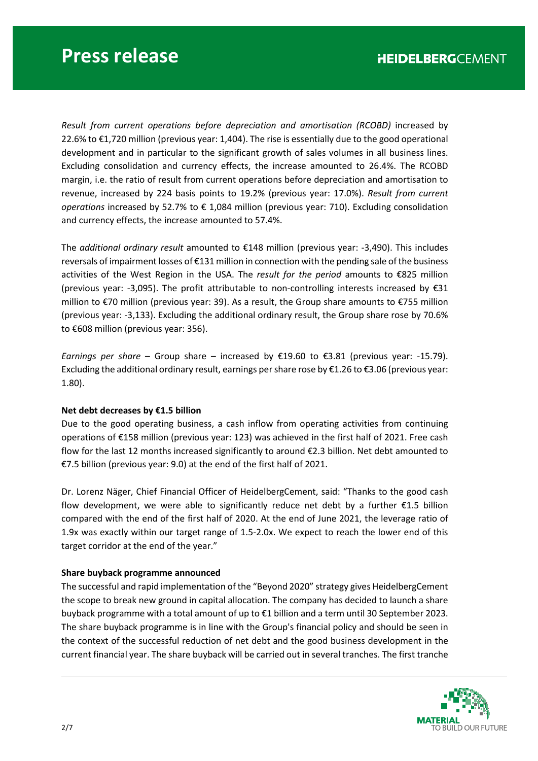*Result from current operations before depreciation and amortisation (RCOBD)* increased by 22.6% to €1,720 million (previous year: 1,404). The rise is essentially due to the good operational development and in particular to the significant growth of sales volumes in all business lines. Excluding consolidation and currency effects, the increase amounted to 26.4%. The RCOBD margin, i.e. the ratio of result from current operations before depreciation and amortisation to revenue, increased by 224 basis points to 19.2% (previous year: 17.0%). *Result from current operations* increased by 52.7% to € 1,084 million (previous year: 710). Excluding consolidation and currency effects, the increase amounted to 57.4%.

The *additional ordinary result* amounted to €148 million (previous year: -3,490). This includes reversals of impairment losses of €131 million in connection with the pending sale of the business activities of the West Region in the USA. The *result for the period* amounts to €825 million (previous year: -3,095). The profit attributable to non-controlling interests increased by €31 million to €70 million (previous year: 39). As a result, the Group share amounts to €755 million (previous year: -3,133). Excluding the additional ordinary result, the Group share rose by 70.6% to €608 million (previous year: 356).

*Earnings per share* – Group share – increased by €19.60 to €3.81 (previous year: -15.79). Excluding the additional ordinary result, earnings per share rose by €1.26 to €3.06 (previous year: 1.80).

### **Net debt decreases by €1.5 billion**

Due to the good operating business, a cash inflow from operating activities from continuing operations of €158 million (previous year: 123) was achieved in the first half of 2021. Free cash flow for the last 12 months increased significantly to around  $\epsilon$ 2.3 billion. Net debt amounted to €7.5 billion (previous year: 9.0) at the end of the first half of 2021.

Dr. Lorenz Näger, Chief Financial Officer of HeidelbergCement, said: "Thanks to the good cash flow development, we were able to significantly reduce net debt by a further  $\epsilon$ 1.5 billion compared with the end of the first half of 2020. At the end of June 2021, the leverage ratio of 1.9x was exactly within our target range of 1.5-2.0x. We expect to reach the lower end of this target corridor at the end of the year."

#### **Share buyback programme announced**

The successful and rapid implementation of the "Beyond 2020" strategy gives HeidelbergCement the scope to break new ground in capital allocation. The company has decided to launch a share buyback programme with a total amount of up to €1 billion and a term until 30 September 2023. The share buyback programme is in line with the Group's financial policy and should be seen in the context of the successful reduction of net debt and the good business development in the current financial year. The share buyback will be carried out in several tranches. The first tranche

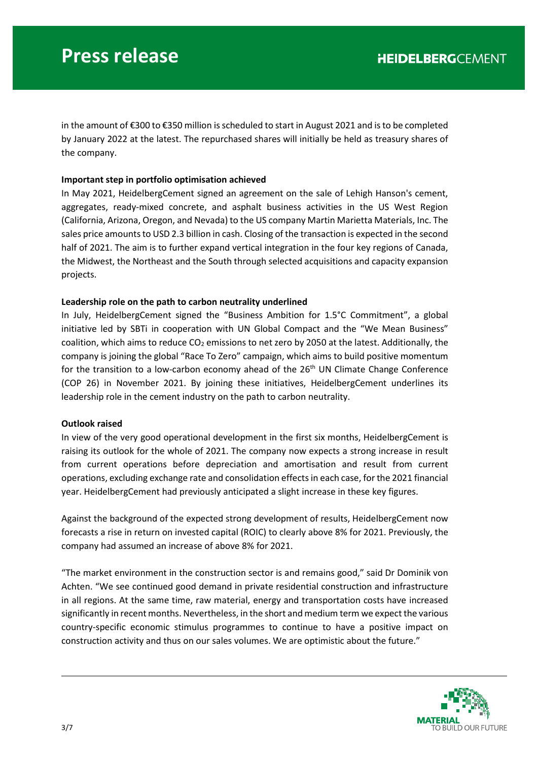in the amount of €300 to €350 million is scheduled to start in August 2021 and is to be completed by January 2022 at the latest. The repurchased shares will initially be held as treasury shares of the company.

#### **Important step in portfolio optimisation achieved**

In May 2021, HeidelbergCement signed an agreement on the sale of Lehigh Hanson's cement, aggregates, ready-mixed concrete, and asphalt business activities in the US West Region (California, Arizona, Oregon, and Nevada) to the US company Martin Marietta Materials, Inc. The sales price amounts to USD 2.3 billion in cash. Closing of the transaction is expected in the second half of 2021. The aim is to further expand vertical integration in the four key regions of Canada, the Midwest, the Northeast and the South through selected acquisitions and capacity expansion projects.

#### **Leadership role on the path to carbon neutrality underlined**

In July, HeidelbergCement signed the "Business Ambition for 1.5°C Commitment", a global initiative led by SBTi in cooperation with UN Global Compact and the "We Mean Business" coalition, which aims to reduce  $CO<sub>2</sub>$  emissions to net zero by 2050 at the latest. Additionally, the company is joining the global "Race To Zero" campaign, which aims to build positive momentum for the transition to a low-carbon economy ahead of the  $26<sup>th</sup>$  UN Climate Change Conference (COP 26) in November 2021. By joining these initiatives, HeidelbergCement underlines its leadership role in the cement industry on the path to carbon neutrality.

#### **Outlook raised**

In view of the very good operational development in the first six months, HeidelbergCement is raising its outlook for the whole of 2021. The company now expects a strong increase in result from current operations before depreciation and amortisation and result from current operations, excluding exchange rate and consolidation effectsin each case, for the 2021 financial year. HeidelbergCement had previously anticipated a slight increase in these key figures.

Against the background of the expected strong development of results, HeidelbergCement now forecasts a rise in return on invested capital (ROIC) to clearly above 8% for 2021. Previously, the company had assumed an increase of above 8% for 2021.

"The market environment in the construction sector is and remains good," said Dr Dominik von Achten. "We see continued good demand in private residential construction and infrastructure in all regions. At the same time, raw material, energy and transportation costs have increased significantly in recent months. Nevertheless, in the short and medium term we expect the various country-specific economic stimulus programmes to continue to have a positive impact on construction activity and thus on our sales volumes. We are optimistic about the future."

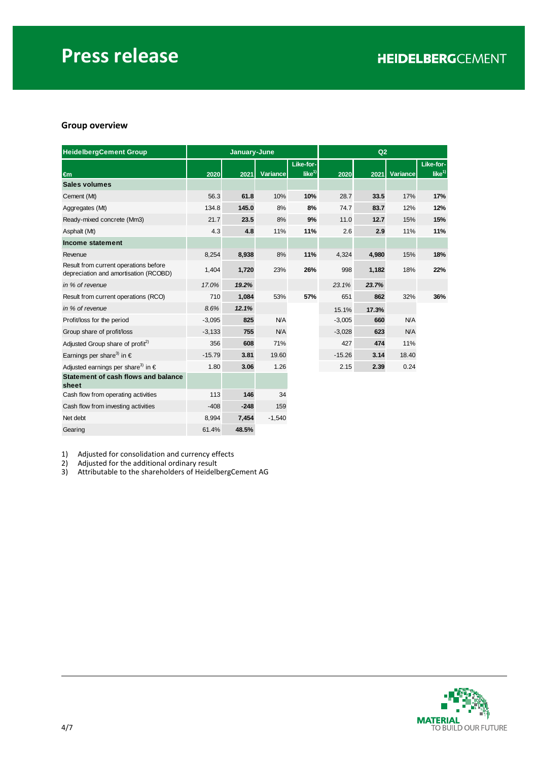### **Group overview**

| <b>HeidelbergCement Group</b>                                                  |          | January-June |          |           | Q2<br>2020<br>Variance<br>2021<br>28.7<br>33.5<br>17%<br>83.7<br>12%<br>74.7<br>11.0<br>12.7<br>15%<br>2.6<br>2.9<br>11%<br>4.324<br>4,980<br>15%<br>18%<br>998<br>1,182<br>23.7%<br>23.1% |       |            |           |
|--------------------------------------------------------------------------------|----------|--------------|----------|-----------|--------------------------------------------------------------------------------------------------------------------------------------------------------------------------------------------|-------|------------|-----------|
|                                                                                |          |              |          | Like-for- |                                                                                                                                                                                            |       |            | Like-for- |
| $\epsilon$ m                                                                   | 2020     | 2021         | Variance | like $1$  |                                                                                                                                                                                            |       |            | like $1$  |
| <b>Sales volumes</b>                                                           |          |              |          |           |                                                                                                                                                                                            |       |            |           |
| Cement (Mt)                                                                    | 56.3     | 61.8         | 10%      | 10%       |                                                                                                                                                                                            |       |            | 17%       |
| Aggregates (Mt)                                                                | 134.8    | 145.0        | 8%       | 8%        |                                                                                                                                                                                            |       |            | 12%       |
| Ready-mixed concrete (Mm3)                                                     | 21.7     | 23.5         | 8%       | 9%        |                                                                                                                                                                                            |       |            | 15%       |
| Asphalt (Mt)                                                                   | 4.3      | 4.8          | 11%      | 11%       |                                                                                                                                                                                            |       |            | 11%       |
| Income statement                                                               |          |              |          |           |                                                                                                                                                                                            |       |            |           |
| Revenue                                                                        | 8,254    | 8,938        | 8%       | 11%       |                                                                                                                                                                                            |       |            | 18%       |
| Result from current operations before<br>depreciation and amortisation (RCOBD) | 1,404    | 1,720        | 23%      | 26%       |                                                                                                                                                                                            |       |            | 22%       |
| in % of revenue                                                                | 17.0%    | 19.2%        |          |           |                                                                                                                                                                                            |       |            |           |
| Result from current operations (RCO)                                           | 710      | 1,084        | 53%      | 57%       | 651                                                                                                                                                                                        | 862   | 32%        | 36%       |
| in % of revenue                                                                | 8.6%     | 12.1%        |          |           | 15.1%                                                                                                                                                                                      | 17.3% |            |           |
| Profit/loss for the period                                                     | $-3,095$ | 825          | N/A      |           | $-3,005$                                                                                                                                                                                   | 660   | N/A        |           |
| Group share of profit/loss                                                     | $-3,133$ | 755          | N/A      |           | $-3,028$                                                                                                                                                                                   | 623   | <b>N/A</b> |           |
| Adjusted Group share of profit <sup>2)</sup>                                   | 356      | 608          | 71%      |           | 427                                                                                                                                                                                        | 474   | 11%        |           |
| Earnings per share <sup>3)</sup> in $\epsilon$                                 | $-15.79$ | 3.81         | 19.60    |           | $-15.26$                                                                                                                                                                                   | 3.14  | 18.40      |           |
| Adjusted earnings per share <sup>3)</sup> in $\in$                             | 1.80     | 3.06         | 1.26     |           | 2.15                                                                                                                                                                                       | 2.39  | 0.24       |           |
| Statement of cash flows and balance<br>sheet                                   |          |              |          |           |                                                                                                                                                                                            |       |            |           |
| Cash flow from operating activities                                            | 113      | 146          | 34       |           |                                                                                                                                                                                            |       |            |           |
| Cash flow from investing activities                                            | $-408$   | $-248$       | 159      |           |                                                                                                                                                                                            |       |            |           |
| Net debt                                                                       | 8,994    | 7,454        | $-1,540$ |           |                                                                                                                                                                                            |       |            |           |

1) Adjusted for consolidation and currency effects<br>
2) Adjusted for the additional ordinary result<br>
3) Attributable to the shareholders of HeidelbergC

Gearing 61.4% **48.5%**

2) Adjusted for the additional ordinary result

3) Attributable to the shareholders of HeidelbergCement AG

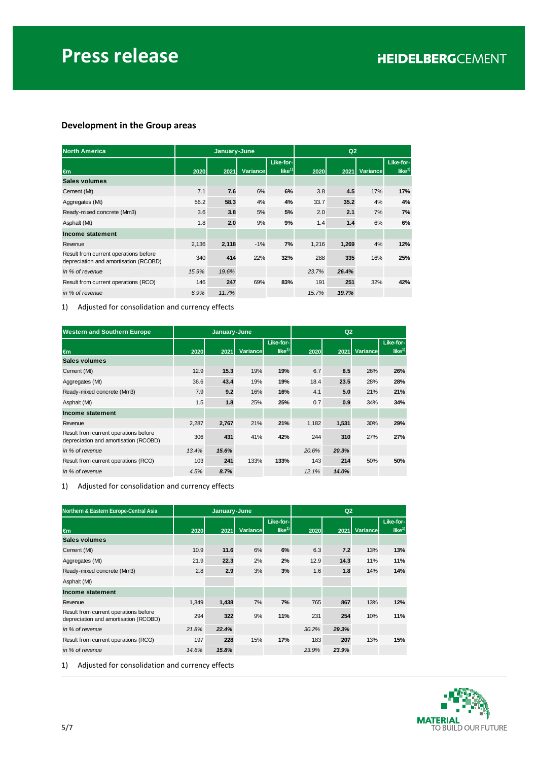### **Development in the Group areas**

| <b>North America</b>                                                           |       | January-June |          |                       | Q2    |       |                 |                       |
|--------------------------------------------------------------------------------|-------|--------------|----------|-----------------------|-------|-------|-----------------|-----------------------|
| $\epsilon$ m                                                                   | 2020  | 2021         | Variance | Like-for-<br>like $1$ | 2020  | 2021  | <b>Variance</b> | Like-for-<br>like $1$ |
| Sales volumes                                                                  |       |              |          |                       |       |       |                 |                       |
| Cement (Mt)                                                                    | 7.1   | 7.6          | 6%       | 6%                    | 3.8   | 4.5   | 17%             | 17%                   |
| Aggregates (Mt)                                                                | 56.2  | 58.3         | 4%       | 4%                    | 33.7  | 35.2  | 4%              | 4%                    |
| Ready-mixed concrete (Mm3)                                                     | 3.6   | 3.8          | 5%       | 5%                    | 2.0   | 2.1   | 7%              | 7%                    |
| Asphalt (Mt)                                                                   | 1.8   | 2.0          | 9%       | 9%                    | 1.4   | 1.4   | 6%              | 6%                    |
| Income statement                                                               |       |              |          |                       |       |       |                 |                       |
| Revenue                                                                        | 2,136 | 2,118        | $-1%$    | 7%                    | 1,216 | 1,269 | 4%              | 12%                   |
| Result from current operations before<br>depreciation and amortisation (RCOBD) | 340   | 414          | 22%      | 32%                   | 288   | 335   | 16%             | 25%                   |
| in % of revenue                                                                | 15.9% | 19.6%        |          |                       | 23.7% | 26.4% |                 |                       |
| Result from current operations (RCO)                                           | 146   | 247          | 69%      | 83%                   | 191   | 251   | 32%             | 42%                   |
| in % of revenue                                                                | 6.9%  | 11.7%        |          |                       | 15.7% | 19.7% |                 |                       |

1) Adjusted for consolidation and currency effects

| <b>Western and Southern Europe</b>                                             |       | January-June |          |                                | Q2    |       |          |                           |
|--------------------------------------------------------------------------------|-------|--------------|----------|--------------------------------|-------|-------|----------|---------------------------|
| $\epsilon$ m                                                                   | 2020  | 2021         | Variance | Like-for-<br>like <sup>1</sup> | 2020  | 2021  | Variance | Like-for-<br>like $^{1)}$ |
| Sales volumes                                                                  |       |              |          |                                |       |       |          |                           |
| Cement (Mt)                                                                    | 12.9  | 15.3         | 19%      | 19%                            | 6.7   | 8.5   | 26%      | 26%                       |
| Aggregates (Mt)                                                                | 36.6  | 43.4         | 19%      | 19%                            | 18.4  | 23.5  | 28%      | 28%                       |
| Ready-mixed concrete (Mm3)                                                     | 7.9   | 9.2          | 16%      | 16%                            | 4.1   | 5.0   | 21%      | 21%                       |
| Asphalt (Mt)                                                                   | 1.5   | 1.8          | 25%      | 25%                            | 0.7   | 0.9   | 34%      | 34%                       |
| Income statement                                                               |       |              |          |                                |       |       |          |                           |
| Revenue                                                                        | 2,287 | 2,767        | 21%      | 21%                            | 1,182 | 1,531 | 30%      | 29%                       |
| Result from current operations before<br>depreciation and amortisation (RCOBD) | 306   | 431          | 41%      | 42%                            | 244   | 310   | 27%      | 27%                       |
| in % of revenue                                                                | 13.4% | 15.6%        |          |                                | 20.6% | 20.3% |          |                           |
| Result from current operations (RCO)                                           | 103   | 241          | 133%     | 133%                           | 143   | 214   | 50%      | 50%                       |
| in % of revenue                                                                | 4.5%  | 8.7%         |          |                                | 12.1% | 14.0% |          |                           |

1) Adjusted for consolidation and currency effects

| Northern & Eastern Europe-Central Asia                                         |       | January-June |          |                                |       |       |          |                       |
|--------------------------------------------------------------------------------|-------|--------------|----------|--------------------------------|-------|-------|----------|-----------------------|
| $\epsilon$ m                                                                   | 2020  | 2021         | Variance | Like-for-<br>like <sup>1</sup> | 2020  | 2021  | Variance | Like-for-<br>like $1$ |
| Sales volumes                                                                  |       |              |          |                                |       |       |          |                       |
| Cement (Mt)                                                                    | 10.9  | 11.6         | 6%       | 6%                             | 6.3   | 7.2   | 13%      | 13%                   |
| Aggregates (Mt)                                                                | 21.9  | 22.3         | 2%       | 2%                             | 12.9  | 14.3  | 11%      | 11%                   |
| Ready-mixed concrete (Mm3)                                                     | 2.8   | 2.9          | 3%       | 3%                             | 1.6   | 1.8   | 14%      | 14%                   |
| Asphalt (Mt)                                                                   |       |              |          |                                |       |       |          |                       |
| Income statement                                                               |       |              |          |                                |       |       |          |                       |
| Revenue                                                                        | 1,349 | 1,438        | 7%       | 7%                             | 765   | 867   | 13%      | 12%                   |
| Result from current operations before<br>depreciation and amortisation (RCOBD) | 294   | 322          | 9%       | 11%                            | 231   | 254   | 10%      | 11%                   |
| in % of revenue                                                                | 21.8% | 22.4%        |          |                                | 30.2% | 29.3% |          |                       |
| Result from current operations (RCO)                                           | 197   | 228          | 15%      | 17%                            | 183   | 207   | 13%      | 15%                   |
| in % of revenue                                                                | 14.6% | 15.8%        |          |                                | 23.9% | 23.9% |          |                       |

1) Adjusted for consolidation and currency effects

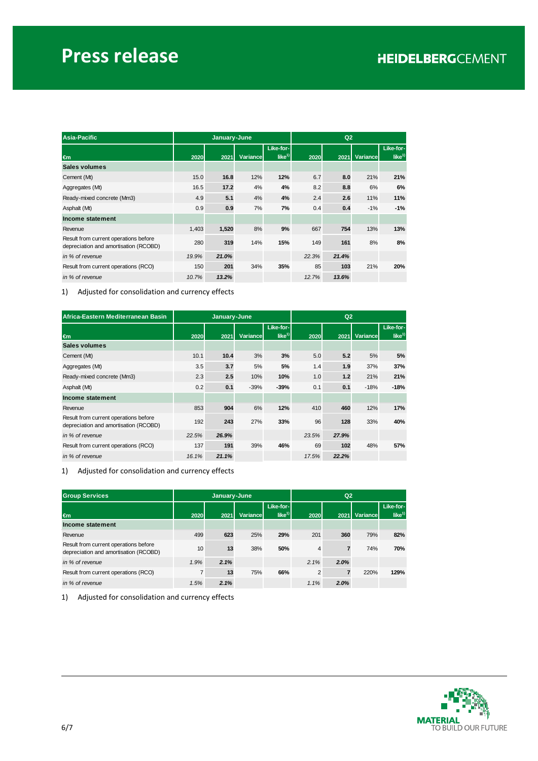| Asia-Pacific                                                                   |       | January-June |          |                           | Q2    |       |          |                                |
|--------------------------------------------------------------------------------|-------|--------------|----------|---------------------------|-------|-------|----------|--------------------------------|
| $\epsilon$ m                                                                   | 2020  | 2021         | Variance | Like-for-<br>like $^{1)}$ | 2020  | 2021  | Variance | Like-for-<br>like <sup>1</sup> |
| Sales volumes                                                                  |       |              |          |                           |       |       |          |                                |
| Cement (Mt)                                                                    | 15.0  | 16.8         | 12%      | 12%                       | 6.7   | 8.0   | 21%      | 21%                            |
| Aggregates (Mt)                                                                | 16.5  | 17.2         | 4%       | 4%                        | 8.2   | 8.8   | 6%       | 6%                             |
| Ready-mixed concrete (Mm3)                                                     | 4.9   | 5.1          | 4%       | 4%                        | 2.4   | 2.6   | 11%      | 11%                            |
| Asphalt (Mt)                                                                   | 0.9   | 0.9          | 7%       | 7%                        | 0.4   | 0.4   | $-1%$    | $-1%$                          |
| Income statement                                                               |       |              |          |                           |       |       |          |                                |
| Revenue                                                                        | 1,403 | 1,520        | 8%       | 9%                        | 667   | 754   | 13%      | 13%                            |
| Result from current operations before<br>depreciation and amortisation (RCOBD) | 280   | 319          | 14%      | 15%                       | 149   | 161   | 8%       | 8%                             |
| in % of revenue                                                                | 19.9% | 21.0%        |          |                           | 22.3% | 21.4% |          |                                |
| Result from current operations (RCO)                                           | 150   | 201          | 34%      | 35%                       | 85    | 103   | 21%      | 20%                            |
| in % of revenue                                                                | 10.7% | 13.2%        |          |                           | 12.7% | 13.6% |          |                                |

1) Adjusted for consolidation and currency effects

| Africa-Eastern Mediterranean Basin                                             |       | January-June |          |           | Q2    |       |          |           |
|--------------------------------------------------------------------------------|-------|--------------|----------|-----------|-------|-------|----------|-----------|
|                                                                                |       |              |          | Like-for- |       |       |          | Like-for- |
| $\epsilon$ m                                                                   | 2020  | 2021         | Variance | like $1$  | 2020  | 2021  | Variance | like $1$  |
| Sales volumes                                                                  |       |              |          |           |       |       |          |           |
| Cement (Mt)                                                                    | 10.1  | 10.4         | 3%       | 3%        | 5.0   | 5.2   | 5%       | 5%        |
| Aggregates (Mt)                                                                | 3.5   | 3.7          | 5%       | 5%        | 1.4   | 1.9   | 37%      | 37%       |
| Ready-mixed concrete (Mm3)                                                     | 2.3   | 2.5          | 10%      | 10%       | 1.0   | 1.2   | 21%      | 21%       |
| Asphalt (Mt)                                                                   | 0.2   | 0.1          | $-39%$   | $-39%$    | 0.1   | 0.1   | $-18%$   | $-18%$    |
| Income statement                                                               |       |              |          |           |       |       |          |           |
| Revenue                                                                        | 853   | 904          | 6%       | 12%       | 410   | 460   | 12%      | 17%       |
| Result from current operations before<br>depreciation and amortisation (RCOBD) | 192   | 243          | 27%      | 33%       | 96    | 128   | 33%      | 40%       |
| in % of revenue                                                                | 22.5% | 26.9%        |          |           | 23.5% | 27.9% |          |           |
| Result from current operations (RCO)                                           | 137   | 191          | 39%      | 46%       | 69    | 102   | 48%      | 57%       |
| in % of revenue                                                                | 16.1% | 21.1%        |          |           | 17.5% | 22.2% |          |           |

1) Adjusted for consolidation and currency effects

| <b>Group Services</b>                                                          |      | January-June |          |                           |      | Q <sub>2</sub> |          |                                |
|--------------------------------------------------------------------------------|------|--------------|----------|---------------------------|------|----------------|----------|--------------------------------|
| $\epsilon$ m                                                                   | 2020 | 2021         | Variance | Like-for-<br>like $^{1)}$ | 2020 | 2021           | Variance | Like-for-<br>like <sup>1</sup> |
| Income statement                                                               |      |              |          |                           |      |                |          |                                |
| Revenue                                                                        | 499  | 623          | 25%      | 29%                       | 201  | 360            | 79%      | 82%                            |
| Result from current operations before<br>depreciation and amortisation (RCOBD) | 10   | 13           | 38%      | 50%                       | 4    |                | 74%      | 70%                            |
| in % of revenue                                                                | 1.9% | 2.1%         |          |                           | 2.1% | 2.0%           |          |                                |
| Result from current operations (RCO)                                           | 7    | 13           | 75%      | 66%                       | 2    |                | 220%     | 129%                           |
| in % of revenue                                                                | 1.5% | 2.1%         |          |                           | 1.1% | 2.0%           |          |                                |

1) Adjusted for consolidation and currency effects